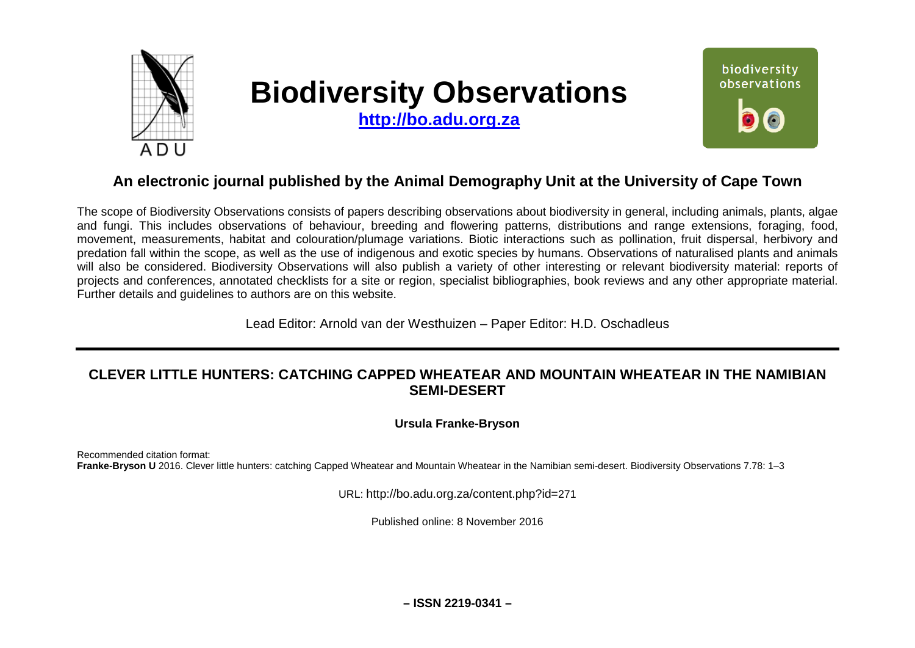

# **Biodiversity Observations**

**[http://bo.adu.org.za](http://bo.adu.org.za/)**



## **An electronic journal published by the Animal Demography Unit at the University of Cape Town**

The scope of Biodiversity Observations consists of papers describing observations about biodiversity in general, including animals, plants, algae and fungi. This includes observations of behaviour, breeding and flowering patterns, distributions and range extensions, foraging, food, movement, measurements, habitat and colouration/plumage variations. Biotic interactions such as pollination, fruit dispersal, herbivory and predation fall within the scope, as well as the use of indigenous and exotic species by humans. Observations of naturalised plants and animals will also be considered. Biodiversity Observations will also publish a variety of other interesting or relevant biodiversity material: reports of projects and conferences, annotated checklists for a site or region, specialist bibliographies, book reviews and any other appropriate material. Further details and guidelines to authors are on this website.

Lead Editor: Arnold van der Westhuizen – Paper Editor: H.D. Oschadleus

## **CLEVER LITTLE HUNTERS: CATCHING CAPPED WHEATEAR AND MOUNTAIN WHEATEAR IN THE NAMIBIAN SEMI-DESERT**

**Ursula Franke-Bryson**

Recommended citation format: **Franke-Bryson U** 2016. Clever little hunters: catching Capped Wheatear and Mountain Wheatear in the Namibian semi-desert. Biodiversity Observations 7.78: 1–3

URL: http://bo.adu.org.za/content.php?id=271

Published online: 8 November 2016

**– ISSN 2219-0341 –**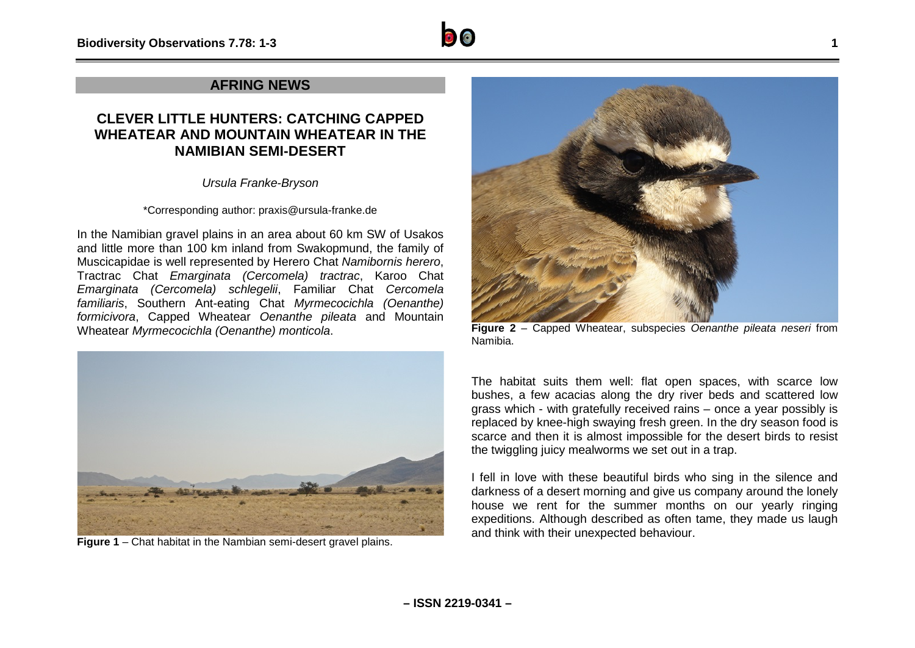## **AFRING NEWS**

## **CLEVER LITTLE HUNTERS: CATCHING CAPPED WHEATEAR AND MOUNTAIN WHEATEAR IN THE NAMIBIAN SEMI-DESERT**

*Ursula Franke-Bryson*

#### \*Corresponding author: praxis@ursula-franke.de

In the Namibian gravel plains in an area about 60 km SW of Usakos and little more than 100 km inland from Swakopmund, the family of Muscicapidae is well represented by Herero Chat *Namibornis herero*, Tractrac Chat *Emarginata (Cercomela) tractrac*, Karoo Chat *Emarginata (Cercomela) schlegelii*, Familiar Chat *Cercomela familiaris*, Southern Ant-eating Chat *Myrmecocichla (Oenanthe) formicivora*, Capped Wheatear *Oenanthe pileata* and Mountain Wheatear *Myrmecocichla (Oenanthe) monticola*.



**Figure 1** – Chat habitat in the Nambian semi-desert gravel plains.



**Figure 2** – Capped Wheatear, subspecies *Oenanthe pileata neseri* from Namibia.

The habitat suits them well: flat open spaces, with scarce low bushes, a few acacias along the dry river beds and scattered low grass which - with gratefully received rains – once a year possibly is replaced by knee-high swaying fresh green. In the dry season food is scarce and then it is almost impossible for the desert birds to resist the twiggling juicy mealworms we set out in a trap.

I fell in love with these beautiful birds who sing in the silence and darkness of a desert morning and give us company around the lonely house we rent for the summer months on our yearly ringing expeditions. Although described as often tame, they made us laugh and think with their unexpected behaviour.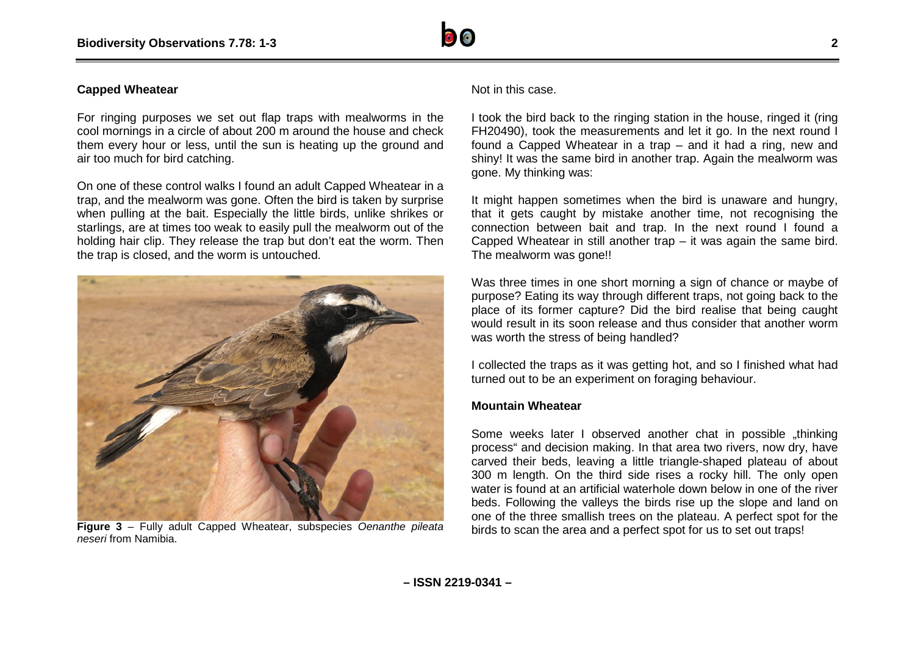

#### **Capped Wheatear**

For ringing purposes we set out flap traps with mealworms in the cool mornings in a circle of about 200 m around the house and check them every hour or less, until the sun is heating up the ground and air too much for bird catching.

On one of these control walks I found an adult Capped Wheatear in a trap, and the mealworm was gone. Often the bird is taken by surprise when pulling at the bait. Especially the little birds, unlike shrikes or starlings, are at times too weak to easily pull the mealworm out of the holding hair clip. They release the trap but don't eat the worm. Then the trap is closed, and the worm is untouched.



**Figure 3** – Fully adult Capped Wheatear, subspecies *Oenanthe pileata neseri* from Namibia.

Not in this case.

I took the bird back to the ringing station in the house, ringed it (ring FH20490), took the measurements and let it go. In the next round I found a Capped Wheatear in a trap – and it had a ring, new and shiny! It was the same bird in another trap. Again the mealworm was gone. My thinking was:

It might happen sometimes when the bird is unaware and hungry. that it gets caught by mistake another time, not recognising the connection between bait and trap. In the next round I found a Capped Wheatear in still another trap – it was again the same bird. The mealworm was gone!!

Was three times in one short morning a sign of chance or maybe of purpose? Eating its way through different traps, not going back to the place of its former capture? Did the bird realise that being caught would result in its soon release and thus consider that another worm was worth the stress of being handled?

I collected the traps as it was getting hot, and so I finished what had turned out to be an experiment on foraging behaviour.

### **Mountain Wheatear**

Some weeks later I observed another chat in possible "thinking process" and decision making. In that area two rivers, now dry, have carved their beds, leaving a little triangle-shaped plateau of about 300 m length. On the third side rises a rocky hill. The only open water is found at an artificial waterhole down below in one of the river beds. Following the valleys the birds rise up the slope and land on one of the three smallish trees on the plateau. A perfect spot for the birds to scan the area and a perfect spot for us to set out traps!